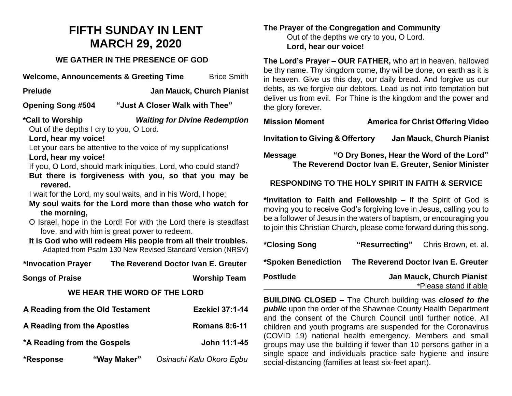# **FIFTH SUNDAY IN LENT MARCH 29, 2020**

#### **WE GATHER IN THE PRESENCE OF GOD**

**Welcome, Announcements & Greeting Time** Brice Smith **Prelude Jan Mauck, Church Pianist Opening Song #504 "Just A Closer Walk with Thee" \*Call to Worship** *Waiting for Divine Redemption* Out of the depths I cry to you, O Lord. **Lord, hear my voice!** Let your ears be attentive to the voice of my supplications! **Lord, hear my voice!** If you, O Lord, should mark iniquities, Lord, who could stand? **But there is forgiveness with you, so that you may be revered.** I wait for the Lord, my soul waits, and in his Word, I hope; **My soul waits for the Lord more than those who watch for the morning,** O Israel, hope in the Lord! For with the Lord there is steadfast love, and with him is great power to redeem. **It is God who will redeem His people from all their troubles.** Adapted from Psalm 130 New Revised Standard Version (NRSV) **\*Invocation Prayer The Reverend Doctor Ivan E. Greuter Songs of Praise Worship Team WE HEAR THE WORD OF THE LORD A Reading from the Old Testament Ezekiel 37:1-14** A Reading from the Apostles Romans 8:6-11 **\*A Reading from the Gospels John 11:1-45 \*Response "Way Maker"** *Osinachi Kalu Okoro Egbu*

**The Prayer of the Congregation and Community** Out of the depths we cry to you, O Lord. **Lord, hear our voice!**

**The Lord's Prayer – OUR FATHER,** who art in heaven, hallowed be thy name. Thy kingdom come, thy will be done, on earth as it is in heaven. Give us this day, our daily bread. And forgive us our debts, as we forgive our debtors. Lead us not into temptation but deliver us from evil. For Thine is the kingdom and the power and the glory forever.

#### **Mission Moment America for Christ Offering Video**

**Invitation to Giving & Offertory Jan Mauck, Church Pianist**

**Message "O Dry Bones, Hear the Word of the Lord" The Reverend Doctor Ivan E. Greuter, Senior Minister**

#### **RESPONDING TO THE HOLY SPIRIT IN FAITH & SERVICE**

**\*Invitation to Faith and Fellowship –** If the Spirit of God is moving you to receive God's forgiving love in Jesus, calling you to be a follower of Jesus in the waters of baptism, or encouraging you to join this Christian Church, please come forward during this song.

| <i><b>*Closing Song</b></i> | "Resurrecting"                      | Chris Brown, et. al.  |
|-----------------------------|-------------------------------------|-----------------------|
| *Spoken Benediction         | The Reverend Doctor Ivan E. Greuter |                       |
| <b>Postlude</b>             | <b>Jan Mauck, Church Pianist</b>    |                       |
|                             |                                     | *Please stand if able |

**BUILDING CLOSED –** The Church building was *closed to the public* upon the order of the Shawnee County Health Department and the consent of the Church Council until further notice. All children and youth programs are suspended for the Coronavirus (COVID 19) national health emergency. Members and small groups may use the building if fewer than 10 persons gather in a single space and individuals practice safe hygiene and insure social-distancing (families at least six-feet apart).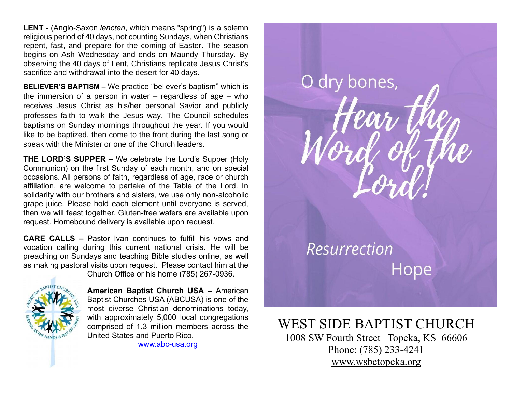**LENT -** (Anglo-Saxon *lencten*, which means "spring") is a solemn religious period of 40 days, not counting Sundays, when Christians repent, fast, and prepare for the coming of Easter. The season begins on Ash Wednesday and ends on Maundy Thursday. By observing the 40 days of Lent, Christians replicate Jesus Christ's sacrifice and withdrawal into the desert for 40 days.

**BELIEVER'S BAPTISM** – We practice "believer's baptism" which is the immersion of a person in water  $-$  regardless of age  $-$  who receives Jesus Christ as his/her personal Savior and publicly professes faith to walk the Jesus way. The Council schedules baptisms on Sunday mornings throughout the year. If you would like to be baptized, then come to the front during the last song or speak with the Minister or one of the Church leaders.

**THE LORD'S SUPPER –** We celebrate the Lord's Supper (Holy Communion) on the first Sunday of each month, and on special occasions. All persons of faith, regardless of age, race or church affiliation, are welcome to partake of the Table of the Lord. In solidarity with our brothers and sisters, we use only non-alcoholic grape juice. Please hold each element until everyone is served, then we will feast together. Gluten-free wafers are available upon request. Homebound delivery is available upon request.

**CARE CALLS –** Pastor Ivan continues to fulfill his vows and vocation calling during this current national crisis. He will be preaching on Sundays and teaching Bible studies online, as well as making pastoral visits upon request. Please contact him at the



Church Office or his home (785) 267-0936.

**American Baptist Church USA –** American Baptist Churches USA (ABCUSA) is one of the most diverse Christian denominations today, with approximately 5,000 local congregations comprised of 1.3 million members across the United States and Puerto Rico.

[www.abc-usa.org](http://www.abc-usa.org/)

O dry bones,

# **Resurrection** Hope

# WEST SIDE BAPTIST CHURCH

1008 SW Fourth Street | Topeka, KS 66606 Phone: (785) 233-4241 [www.wsbctopeka.org](http://www.wsbctopeka.org/)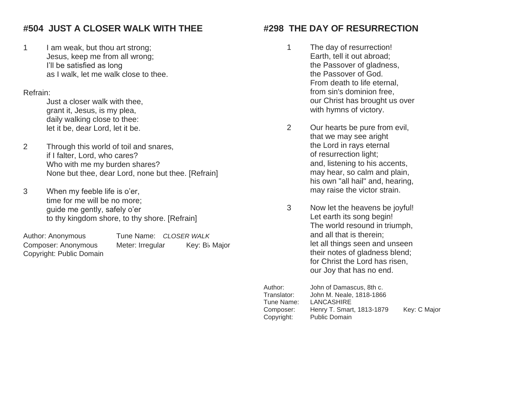## **#504 JUST A CLOSER WALK WITH THEE**

1 I am weak, but thou art strong; Jesus, keep me from all wrong; I'll be satisfied as long as I walk, let me walk close to thee.

#### Refrain:

Just a closer walk with thee, grant it, Jesus, is my plea, daily walking close to thee: let it be, dear Lord, let it be.

- 2 Through this world of toil and snares, if I falter, Lord, who cares? Who with me my burden shares? None but thee, dear Lord, none but thee. [Refrain]
- 3 When my feeble life is o'er, time for me will be no more; guide me gently, safely o'er to thy kingdom shore, to thy shore. [Refrain]

Author: Anonymous Tune Name: *CLOSER WALK* Composer: Anonymous Meter: Irregular Key: B♭ Major Copyright: Public Domain

## **#298 THE DAY OF RESURRECTION**

- 1 The day of resurrection! Earth, tell it out abroad; the Passover of gladness, the Passover of God. From death to life eternal, from sin's dominion free, our Christ has brought us over with hymns of victory.
- 2 Our hearts be pure from evil, that we may see aright the Lord in rays eternal of resurrection light; and, listening to his accents, may hear, so calm and plain, his own "all hail" and, hearing, may raise the victor strain.
- 3 Now let the heavens be joyful! Let earth its song begin! The world resound in triumph, and all that is therein; let all things seen and unseen their notes of gladness blend; for Christ the Lord has risen, our Joy that has no end.

| Author:     | John of Damascus, 8th c.  |              |
|-------------|---------------------------|--------------|
| Translator: | John M. Neale, 1818-1866  |              |
| Tune Name:  | LANCASHIRE                |              |
| Composer:   | Henry T. Smart, 1813-1879 | Key: C Major |
| Copyright:  | <b>Public Domain</b>      |              |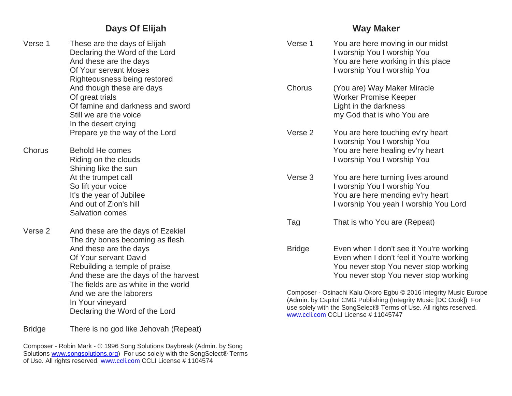# **Days Of Elijah**

# **Way Maker**

| Verse 1       | These are the days of Elijah<br>Declaring the Word of the Lord<br>And these are the days<br>Of Your servant Moses<br>Righteousness being restored                 | Verse 1       | You are here moving in our midst<br>I worship You I worship You<br>You are here working in this place<br>I worship You I worship You                                                                                                                |  |
|---------------|-------------------------------------------------------------------------------------------------------------------------------------------------------------------|---------------|-----------------------------------------------------------------------------------------------------------------------------------------------------------------------------------------------------------------------------------------------------|--|
|               | And though these are days<br>Of great trials<br>Of famine and darkness and sword<br>Still we are the voice<br>In the desert crying                                | Chorus        | (You are) Way Maker Miracle<br><b>Worker Promise Keeper</b><br>Light in the darkness<br>my God that is who You are                                                                                                                                  |  |
|               | Prepare ye the way of the Lord                                                                                                                                    | Verse 2       | You are here touching ev'ry heart<br>I worship You I worship You                                                                                                                                                                                    |  |
| <b>Chorus</b> | <b>Behold He comes</b><br>Riding on the clouds<br>Shining like the sun                                                                                            |               | You are here healing ev'ry heart<br>I worship You I worship You                                                                                                                                                                                     |  |
|               | At the trumpet call<br>So lift your voice<br>It's the year of Jubilee<br>And out of Zion's hill<br><b>Salvation comes</b>                                         | Verse 3       | You are here turning lives around<br>I worship You I worship You<br>You are here mending ev'ry heart<br>I worship You yeah I worship You Lord                                                                                                       |  |
| Verse 2       | And these are the days of Ezekiel<br>The dry bones becoming as flesh                                                                                              | Tag           | That is who You are (Repeat)                                                                                                                                                                                                                        |  |
|               | And these are the days<br>Of Your servant David<br>Rebuilding a temple of praise<br>And these are the days of the harvest<br>The fields are as white in the world | <b>Bridge</b> | Even when I don't see it You're working<br>Even when I don't feel it You're working<br>You never stop You never stop working<br>You never stop You never stop working                                                                               |  |
|               | And we are the laborers<br>In Your vineyard<br>Declaring the Word of the Lord                                                                                     |               | Composer - Osinachi Kalu Okoro Egbu © 2016 Integrity Music Europe<br>(Admin. by Capitol CMG Publishing (Integrity Music [DC Cook]) For<br>use solely with the SongSelect® Terms of Use. All rights reserved.<br>www.ccli.com CCLI License #11045747 |  |

Bridge There is no god like Jehovah (Repeat)

Composer - Robin Mark - © 1996 Song Solutions Daybreak (Admin. by Song Solutions **www.songsolutions.org**) For use solely with the SongSelect® Terms of Use. All rights reserved. [www.ccli.com](http://www.ccli.com/) CCLI License # 1104574